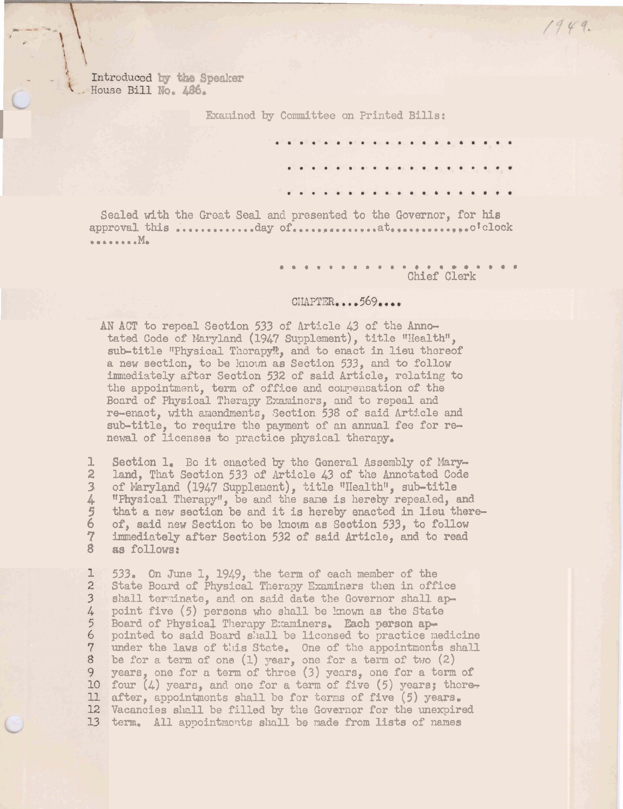Introduced by the Speaker House Bill No. 486.

Examined by Committee on Printed Bills:

Sealed with the Great Seal and presented to the Governor, for his  $\ldots$  . . . . . .  $M_{\bullet}$ 

Chief Clerk

 $1949.$ 

## CHAPTER....569....

AN ACT to repeal Section 533 of Article 43 of the Annotated Code of Maryland (1947 Supplement), title "Health", sub-title "Physical Therapy", and to enact in lieu thereof a new section, to be known as Section 533, and to follow immediately after Section 532 of said Article, relating to the appointment, term of office and compensation of the Board of Physical Therapy Examiners, and to repeal and re-enact, with amendments, Section 538 of said Article and sub-title, to require the payment of an annual fee for renewal of licenses to practice physical therapy.

Section 1. Be it enacted by the General Assembly of Maryı  $\tilde{z}$ land, That Section 533 of Article 43 of the Annotated Code  $\overline{\mathbf{3}}$ of Maryland (1947 Supplement), title "Health", sub-title 4号 "Physical Therapy", be and the same is hereby repealed, and that a new section be and it is hereby enacted in lieu there- $\overline{6}$ of, said new Section to be known as Section 533, to follow  $\overline{7}$ immediately after Section 532 of said Article, and to read  $\ddot{8}$ as follows:

I 533. On June 1, 1949, the term of each member of the  $\overline{c}$ State Board of Physical Therapy Examiners then in office shall terminate, and on said date the Governor shall ap- $\overline{\mathbf{3}}$ 4 point five (5) persons who shall be known as the State  $5\overline{}$ Board of Physical Therapy Examiners. Each person ap-6 pointed to said Board shall be licensed to practice medicine  $7\phantom{.0}$ under the laws of this State. One of the appointments shall  $8$ be for a term of one  $(1)$  year, one for a term of two  $(2)$ 9 years, one for a term of three (3) years, one for a term of four  $(4)$  years, and one for a term of five  $(5)$  years; there-10 11 after, appointments shall be for terms of five (5) years. 12 Vacancies shall be filled by the Governor for the unexpired 13 term. All appointments shall be made from lists of names